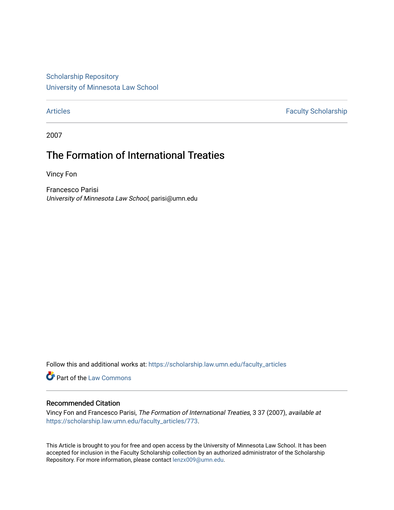[Scholarship Repository](https://scholarship.law.umn.edu/?utm_source=scholarship.law.umn.edu%2Ffaculty_articles%2F773&utm_medium=PDF&utm_campaign=PDFCoverPages) [University of Minnesota Law School](https://scholarship.law.umn.edu/?utm_source=scholarship.law.umn.edu%2Ffaculty_articles%2F773&utm_medium=PDF&utm_campaign=PDFCoverPages)

[Articles](https://scholarship.law.umn.edu/faculty_articles?utm_source=scholarship.law.umn.edu%2Ffaculty_articles%2F773&utm_medium=PDF&utm_campaign=PDFCoverPages) **Faculty Scholarship** 

2007

# The Formation of International Treaties

Vincy Fon

Francesco Parisi University of Minnesota Law School, parisi@umn.edu

Follow this and additional works at: [https://scholarship.law.umn.edu/faculty\\_articles](https://scholarship.law.umn.edu/faculty_articles?utm_source=scholarship.law.umn.edu%2Ffaculty_articles%2F773&utm_medium=PDF&utm_campaign=PDFCoverPages)

Part of the [Law Commons](https://network.bepress.com/hgg/discipline/578?utm_source=scholarship.law.umn.edu%2Ffaculty_articles%2F773&utm_medium=PDF&utm_campaign=PDFCoverPages)

# Recommended Citation

Vincy Fon and Francesco Parisi, The Formation of International Treaties, 3 37 (2007), available at [https://scholarship.law.umn.edu/faculty\\_articles/773](https://scholarship.law.umn.edu/faculty_articles/773?utm_source=scholarship.law.umn.edu%2Ffaculty_articles%2F773&utm_medium=PDF&utm_campaign=PDFCoverPages).

This Article is brought to you for free and open access by the University of Minnesota Law School. It has been accepted for inclusion in the Faculty Scholarship collection by an authorized administrator of the Scholarship Repository. For more information, please contact [lenzx009@umn.edu.](mailto:lenzx009@umn.edu)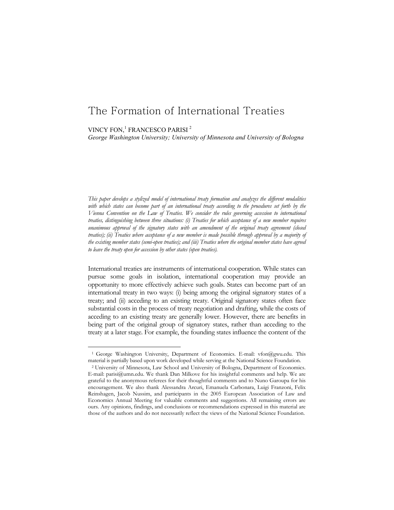# The Formation of International Treaties

VINCY FON,<sup>1</sup> FRANCESCO PARISI<sup>2</sup>

*George Washington University; University of Minnesota and University of Bologna* 

*This paper develops a stylized model of international treaty formation and analyzes the different modalities*  with which states can become part of an international treaty according to the procedures set forth by the *Vienna Convention on the Law of Treaties. We consider the rules governing accession to international treaties, distinguishing between three situations: (i) Treaties for which acceptance of a new member requires unanimous approval of the signatory states with an amendment of the original treaty agreement (closed treaties); (ii) Treaties where acceptance of a new member is made possible through approval by a majority of the existing member states (semi-open treaties); and (iii) Treaties where the original member states have agreed to leave the treaty open for accession by other states (open treaties).* 

International treaties are instruments of international cooperation. While states can pursue some goals in isolation, international cooperation may provide an opportunity to more effectively achieve such goals. States can become part of an international treaty in two ways: (i) being among the original signatory states of a treaty; and (ii) acceding to an existing treaty. Original signatory states often face substantial costs in the process of treaty negotiation and drafting, while the costs of acceding to an existing treaty are generally lower. However, there are benefits in being part of the original group of signatory states, rather than acceding to the treaty at a later stage. For example, the founding states influence the content of the

<sup>1</sup> George Washington University, Department of Economics. E-mail: vfon@gwu.edu. This material is partially based upon work developed while serving at the National Science Foundation.

<sup>2</sup> University of Minnesota, Law School and University of Bologna, Department of Economics. E-mail: parisi@umn.edu. We thank Dan Milkove for his insightful comments and help. We are grateful to the anonymous referees for their thoughtful comments and to Nuno Garoupa for his encouragement. We also thank Alessandra Arcuri, Emanuela Carbonara, Luigi Franzoni, Felix Reinshagen, Jacob Nussim, and participants in the 2005 European Association of Law and Economics Annual Meeting for valuable comments and suggestions. All remaining errors are ours. Any opinions, findings, and conclusions or recommendations expressed in this material are those of the authors and do not necessarily reflect the views of the National Science Foundation.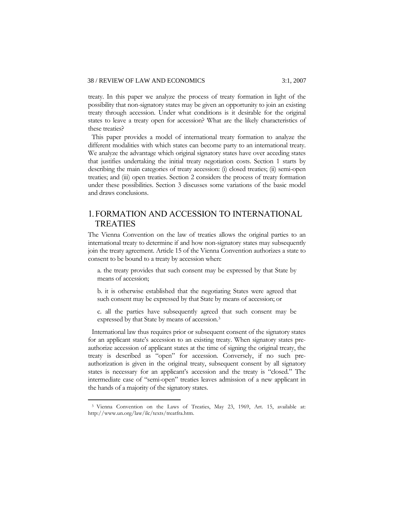treaty. In this paper we analyze the process of treaty formation in light of the possibility that non-signatory states may be given an opportunity to join an existing treaty through accession. Under what conditions is it desirable for the original states to leave a treaty open for accession? What are the likely characteristics of these treaties?

This paper provides a model of international treaty formation to analyze the different modalities with which states can become party to an international treaty. We analyze the advantage which original signatory states have over acceding states that justifies undertaking the initial treaty negotiation costs. Section 1 starts by describing the main categories of treaty accession: (i) closed treaties; (ii) semi-open treaties; and (iii) open treaties. Section 2 considers the process of treaty formation under these possibilities. Section 3 discusses some variations of the basic model and draws conclusions.

# 1.FORMATION AND ACCESSION TO INTERNATIONAL TREATIES

The Vienna Convention on the law of treaties allows the original parties to an international treaty to determine if and how non-signatory states may subsequently join the treaty agreement. Article 15 of the Vienna Convention authorizes a state to consent to be bound to a treaty by accession when:

a. the treaty provides that such consent may be expressed by that State by means of accession;

b. it is otherwise established that the negotiating States were agreed that such consent may be expressed by that State by means of accession; or

c. all the parties have subsequently agreed that such consent may be expressed by that State by means of accession.3

International law thus requires prior or subsequent consent of the signatory states for an applicant state's accession to an existing treaty. When signatory states preauthorize accession of applicant states at the time of signing the original treaty, the treaty is described as "open" for accession. Conversely, if no such preauthorization is given in the original treaty, subsequent consent by all signatory states is necessary for an applicant's accession and the treaty is "closed." The intermediate case of "semi-open" treaties leaves admission of a new applicant in the hands of a majority of the signatory states.

<sup>3</sup> Vienna Convention on the Laws of Treaties, May 23, 1969, Art. 15, available at: http://www.un.org/law/ilc/texts/treatfra.htm.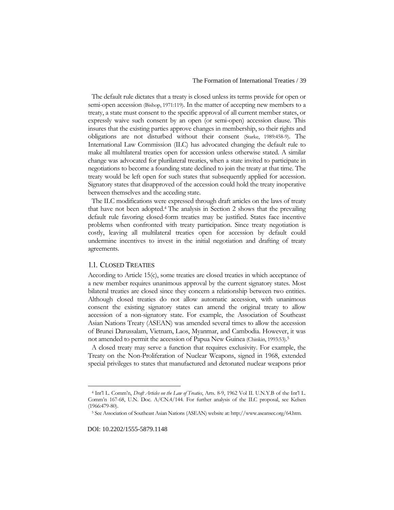#### The Formation of International Treaties / 39

The default rule dictates that a treaty is closed unless its terms provide for open or semi-open accession (Bishop, 1971:119). In the matter of accepting new members to a treaty, a state must consent to the specific approval of all current member states, or expressly waive such consent by an open (or semi-open) accession clause. This insures that the existing parties approve changes in membership, so their rights and obligations are not disturbed without their consent (Starke, 1989:458-9). The International Law Commission (ILC) has advocated changing the default rule to make all multilateral treaties open for accession unless otherwise stated. A similar change was advocated for plurilateral treaties, when a state invited to participate in negotiations to become a founding state declined to join the treaty at that time. The treaty would be left open for such states that subsequently applied for accession. Signatory states that disapproved of the accession could hold the treaty inoperative between themselves and the acceding state.

The ILC modifications were expressed through draft articles on the laws of treaty that have not been adopted.4 The analysis in Section 2 shows that the prevailing default rule favoring closed-form treaties may be justified. States face incentive problems when confronted with treaty participation. Since treaty negotiation is costly, leaving all multilateral treaties open for accession by default could undermine incentives to invest in the initial negotiation and drafting of treaty agreements.

# 1.1. CLOSED TREATIES

According to Article 15(c), some treaties are closed treaties in which acceptance of a new member requires unanimous approval by the current signatory states. Most bilateral treaties are closed since they concern a relationship between two entities. Although closed treaties do not allow automatic accession, with unanimous consent the existing signatory states can amend the original treaty to allow accession of a non-signatory state. For example, the Association of Southeast Asian Nations Treaty (ASEAN) was amended several times to allow the accession of Brunei Darussalam, Vietnam, Laos, Myanmar, and Cambodia. However, it was not amended to permit the accession of Papua New Guinea (Chinkin, 1993:53). 5

A closed treaty may serve a function that requires exclusivity. For example, the Treaty on the Non-Proliferation of Nuclear Weapons, signed in 1968, extended special privileges to states that manufactured and detonated nuclear weapons prior

<sup>4</sup> Int'l L. Comm'n, *Draft Articles on the Law of Treaties*, Arts. 8-9, 1962 Vol II. U.N.Y.B of the Int'l L. Comm'n 167-68, U.N. Doc. A/CN.4/144. For further analysis of the ILC proposal, see Kelsen (1966:479-80).

<sup>5</sup> See Association of Southeast Asian Nations (ASEAN) website at: http://www.aseansec.org/64.htm.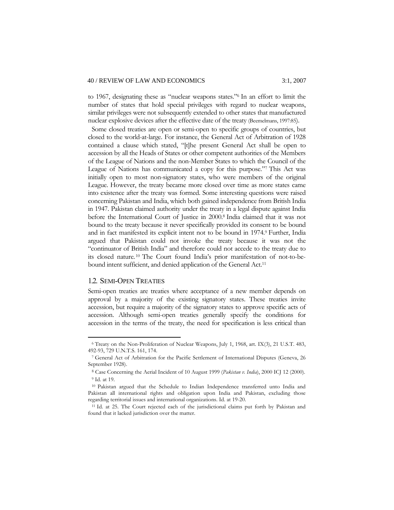to 1967, designating these as "nuclear weapons states."6 In an effort to limit the number of states that hold special privileges with regard to nuclear weapons, similar privileges were not subsequently extended to other states that manufactured nuclear explosive devices after the effective date of the treaty (Beemelmans, 1997:85).

Some closed treaties are open or semi-open to specific groups of countries, but closed to the world-at-large. For instance, the General Act of Arbitration of 1928 contained a clause which stated, "[t]he present General Act shall be open to accession by all the Heads of States or other competent authorities of the Members of the League of Nations and the non-Member States to which the Council of the League of Nations has communicated a copy for this purpose."7 This Act was initially open to most non-signatory states, who were members of the original League. However, the treaty became more closed over time as more states came into existence after the treaty was formed. Some interesting questions were raised concerning Pakistan and India, which both gained independence from British India in 1947. Pakistan claimed authority under the treaty in a legal dispute against India before the International Court of Justice in 2000.8 India claimed that it was not bound to the treaty because it never specifically provided its consent to be bound and in fact manifested its explicit intent not to be bound in 1974.9 Further, India argued that Pakistan could not invoke the treaty because it was not the "continuator of British India" and therefore could not accede to the treaty due to its closed nature. 10 The Court found India's prior manifestation of not-to-bebound intent sufficient, and denied application of the General Act.<sup>11</sup>

### 1.2. SEMI-OPEN TREATIES

Semi-open treaties are treaties where acceptance of a new member depends on approval by a majority of the existing signatory states. These treaties invite accession, but require a majority of the signatory states to approve specific acts of accession. Although semi-open treaties generally specify the conditions for accession in the terms of the treaty, the need for specification is less critical than

<sup>&</sup>lt;sup>6</sup> Treaty on the Non-Proliferation of Nuclear Weapons, July 1, 1968, art. IX(3), 21 U.S.T. 483, 492-93, 729 U.N.T.S. 161, 174.

<sup>7</sup> General Act of Arbitration for the Pacific Settlement of International Disputes (Geneva, 26 September 1928).

<sup>8</sup> Case Concerning the Aerial Incident of 10 August 1999 (*Pakistan v. India*), 2000 ICJ 12 (2000). <sup>9</sup> Id. at 19.

<sup>10</sup> Pakistan argued that the Schedule to Indian Independence transferred unto India and Pakistan all international rights and obligation upon India and Pakistan, excluding those regarding territorial issues and international organizations. Id. at 19-20.

<sup>&</sup>lt;sup>11</sup> Id. at 25. The Court rejected each of the jurisdictional claims put forth by Pakistan and found that it lacked jurisdiction over the matter.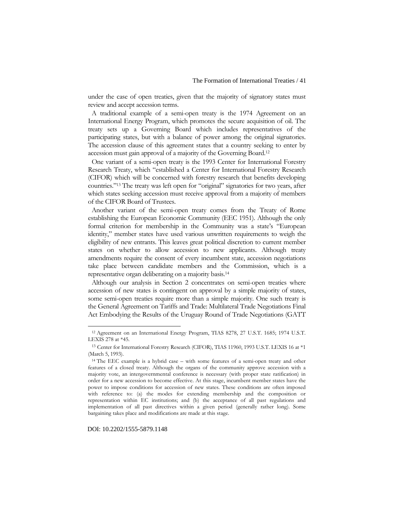under the case of open treaties, given that the majority of signatory states must review and accept accession terms.

A traditional example of a semi-open treaty is the 1974 Agreement on an International Energy Program, which promotes the secure acquisition of oil. The treaty sets up a Governing Board which includes representatives of the participating states, but with a balance of power among the original signatories. The accession clause of this agreement states that a country seeking to enter by accession must gain approval of a majority of the Governing Board.12

One variant of a semi-open treaty is the 1993 Center for International Forestry Research Treaty, which "established a Center for International Forestry Research (CIFOR) which will be concerned with forestry research that benefits developing countries."13 The treaty was left open for "original" signatories for two years, after which states seeking accession must receive approval from a majority of members of the CIFOR Board of Trustees.

Another variant of the semi-open treaty comes from the Treaty of Rome establishing the European Economic Community (EEC 1951). Although the only formal criterion for membership in the Community was a state's "European identity," member states have used various unwritten requirements to weigh the eligibility of new entrants. This leaves great political discretion to current member states on whether to allow accession to new applicants. Although treaty amendments require the consent of every incumbent state, accession negotiations take place between candidate members and the Commission, which is a representative organ deliberating on a majority basis.14

Although our analysis in Section 2 concentrates on semi-open treaties where accession of new states is contingent on approval by a simple majority of states, some semi-open treaties require more than a simple majority. One such treaty is the General Agreement on Tariffs and Trade: Multilateral Trade Negotiations Final Act Embodying the Results of the Uruguay Round of Trade Negotiations (GATT

<sup>12</sup> Agreement on an International Energy Program, TIAS 8278, 27 U.S.T. 1685; 1974 U.S.T. LEXIS 278 at \*45.

<sup>13</sup> Center for International Forestry Research (CIFOR), TIAS 11960, 1993 U.S.T. LEXIS 16 at \*1 (March 5, 1993).

<sup>14</sup> The EEC example is a hybrid case – with some features of a semi-open treaty and other features of a closed treaty. Although the organs of the community approve accession with a majority vote, an intergovernmental conference is necessary (with proper state ratification) in order for a new accession to become effective. At this stage, incumbent member states have the power to impose conditions for accession of new states. These conditions are often imposed with reference to: (a) the modes for extending membership and the composition or representation within EC institutions; and (b) the acceptance of all past regulations and implementation of all past directives within a given period (generally rather long). Some bargaining takes place and modifications are made at this stage.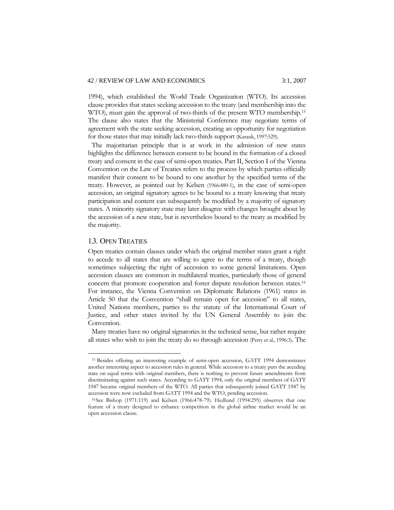1994), which established the World Trade Organization (WTO). Its accession clause provides that states seeking accession to the treaty (and membership into the WTO), must gain the approval of two-thirds of the present WTO membership.15 The clause also states that the Ministerial Conference may negotiate terms of agreement with the state seeking accession, creating an opportunity for negotiation for those states that may initially lack two-thirds support (Karasik, 1997:529).

The majoritarian principle that is at work in the admission of new states highlights the difference between consent to be bound in the formation of a closed treaty and consent in the case of semi-open treaties. Part II, Section I of the Vienna Convention on the Law of Treaties refers to the process by which parties officially manifest their consent to be bound to one another by the specified terms of the treaty. However, as pointed out by Kelsen (1966:480-1), in the case of semi-open accession, an original signatory agrees to be bound to a treaty knowing that treaty participation and content can subsequently be modified by a majority of signatory states. A minority signatory state may later disagree with changes brought about by the accession of a new state, but is nevertheless bound to the treaty as modified by the majority.

# 1.3. OPEN TREATIES

Open treaties contain clauses under which the original member states grant a right to accede to all states that are willing to agree to the terms of a treaty, though sometimes subjecting the right of accession to some general limitations. Open accession clauses are common in multilateral treaties, particularly those of general concern that promote cooperation and foster dispute resolution between states.16 For instance, the Vienna Convention on Diplomatic Relations (1961) states in Article 50 that the Convention "shall remain open for accession" to all states, United Nations members, parties to the statute of the International Court of Justice, and other states invited by the UN General Assembly to join the Convention.

Many treaties have no original signatories in the technical sense, but rather require all states who wish to join the treaty do so through accession (Perry et al., 1996:3). The

<sup>15</sup> Besides offering an interesting example of semi-open accession, GATT 1994 demonstrates another interesting aspect to accession rules in general. While accession to a treaty puts the acceding state on equal terms with original members, there is nothing to prevent future amendments from discriminating against such states. According to GATT 1994, only the original members of GATT 1947 became original members of the WTO. All parties that subsequently joined GATT 1947 by accession were now excluded from GATT 1994 and the WTO, pending accession.

<sup>16</sup>See Bishop (1971:119) and Kelsen (1966:478-79). Hedlund (1994:295) observes that one feature of a treaty designed to enhance competition in the global airline market would be an open accession clause.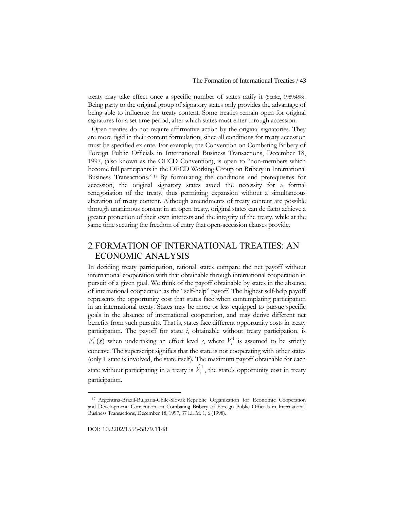treaty may take effect once a specific number of states ratify it (Starke, 1989:458). Being party to the original group of signatory states only provides the advantage of being able to influence the treaty content. Some treaties remain open for original signatures for a set time period, after which states must enter through accession.

Open treaties do not require affirmative action by the original signatories. They are more rigid in their content formulation, since all conditions for treaty accession must be specified ex ante. For example, the Convention on Combating Bribery of Foreign Public Officials in International Business Transactions, December 18, 1997, (also known as the OECD Convention), is open to "non-members which become full participants in the OECD Working Group on Bribery in International Business Transactions."<sup>17</sup> By formulating the conditions and prerequisites for accession, the original signatory states avoid the necessity for a formal renegotiation of the treaty, thus permitting expansion without a simultaneous alteration of treaty content. Although amendments of treaty content are possible through unanimous consent in an open treaty, original states can de facto achieve a greater protection of their own interests and the integrity of the treaty, while at the same time securing the freedom of entry that open-accession clauses provide.

# 2.FORMATION OF INTERNATIONAL TREATIES: AN ECONOMIC ANALYSIS

In deciding treaty participation, rational states compare the net payoff without international cooperation with that obtainable through international cooperation in pursuit of a given goal. We think of the payoff obtainable by states in the absence of international cooperation as the "self-help" payoff. The highest self-help payoff represents the opportunity cost that states face when contemplating participation in an international treaty. States may be more or less equipped to pursue specific goals in the absence of international cooperation, and may derive different net benefits from such pursuits. That is, states face different opportunity costs in treaty participation. The payoff for state *i*, obtainable without treaty participation, is  $V_i^1(s)$  when undertaking an effort level *s*, where  $V_i^1$  is assumed to be strictly concave. The superscript signifies that the state is not cooperating with other states (only 1 state is involved, the state itself). The maximum payoff obtainable for each state without participating in a treaty is  $\hat{V}_i^1$ , the state's opportunity cost in treaty participation.

<sup>17</sup> Argentina-Brazil-Bulgaria-Chile-Slovak Republic Organization for Economic Cooperation and Development: Convention on Combating Bribery of Foreign Public Officials in International Business Transactions, December 18, 1997, 37 I.L.M. 1, 6 (1998).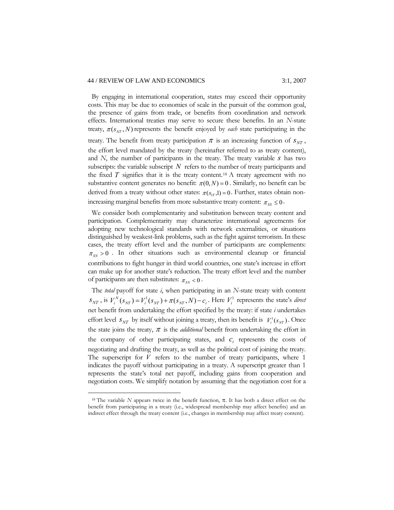By engaging in international cooperation, states may exceed their opportunity costs. This may be due to economies of scale in the pursuit of the common goal, the presence of gains from trade, or benefits from coordination and network effects. International treaties may serve to secure these benefits. In an *N*-state treaty,  $\pi(s_{NT}, N)$  represents the benefit enjoyed by *each* state participating in the treaty. The benefit from treaty participation  $\pi$  is an increasing function of  $S_{NT}$ , the effort level mandated by the treaty (hereinafter referred to as treaty content), and *N*, the number of participants in the treaty. The treaty variable *s* has two subscripts: the variable subscript *N* refers to the number of treaty participants and the fixed  $T$  signifies that it is the treaty content.<sup>18</sup> A treaty agreement with no substantive content generates no benefit:  $\pi(0, N) = 0$ . Similarly, no benefit can be derived from a treaty without other states:  $\pi(s_{1T},1) = 0$ . Further, states obtain nonincreasing marginal benefits from more substantive treaty content:  $\pi_{SS} \leq 0$ .

We consider both complementarity and substitution between treaty content and participation. Complementarity may characterize international agreements for adopting new technological standards with network externalities, or situations distinguished by weakest-link problems, such as the fight against terrorism. In these cases, the treaty effort level and the number of participants are complements:  $\pi_{sw} > 0$ . In other situations such as environmental cleanup or financial contributions to fight hunger in third world countries, one state's increase in effort can make up for another state's reduction. The treaty effort level and the number of participants are then substitutes:  $\pi_{sv} < 0$ .

The *total* payoff for state *i*, when participating in an *N*-state treaty with content  $S_{NT}$ , is  $V_i^N(s_{NT}) = V_i^1(s_{NT}) + \pi(s_{NT}, N) - c_i$ . Here  $V_i^1$  represents the state's *direct* net benefit from undertaking the effort specified by the treaty: if state *i* undertakes effort level  $S_{NT}$  by itself without joining a treaty, then its benefit is  $V_i^1(S_{NT})$ . Once the state joins the treaty,  $\pi$  is the *additional* benefit from undertaking the effort in the company of other participating states, and  $c<sub>i</sub>$  represents the costs of negotiating and drafting the treaty, as well as the political cost of joining the treaty. The superscript for *V* refers to the number of treaty participants, where 1 indicates the payoff without participating in a treaty. A superscript greater than 1 represents the state's total net payoff, including gains from cooperation and negotiation costs. We simplify notation by assuming that the negotiation cost for a

<sup>&</sup>lt;sup>18</sup> The variable  $N$  appears twice in the benefit function,  $\pi$ . It has both a direct effect on the benefit from participating in a treaty (i.e., widespread membership may affect benefits) and an indirect effect through the treaty content (i.e., changes in membership may affect treaty content).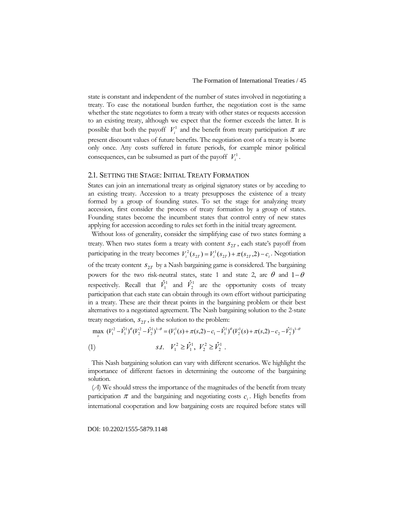state is constant and independent of the number of states involved in negotiating a treaty. To ease the notational burden further, the negotiation cost is the same whether the state negotiates to form a treaty with other states or requests accession to an existing treaty, although we expect that the former exceeds the latter. It is possible that both the payoff  $V_i^1$  and the benefit from treaty participation  $\pi$  are present discount values of future benefits. The negotiation cost of a treaty is borne only once. Any costs suffered in future periods, for example minor political consequences, can be subsumed as part of the payoff  $V_i^1$ .

# 2.1. SETTING THE STAGE: INITIAL TREATY FORMATION

States can join an international treaty as original signatory states or by acceding to an existing treaty. Accession to a treaty presupposes the existence of a treaty formed by a group of founding states. To set the stage for analyzing treaty accession, first consider the process of treaty formation by a group of states. Founding states become the incumbent states that control entry of new states applying for accession according to rules set forth in the initial treaty agreement.

Without loss of generality, consider the simplifying case of two states forming a treaty. When two states form a treaty with content  $S_{2T}$ , each state's payoff from participating in the treaty becomes  $V_i^2(s_{2T}) = V_i^1(s_{2T}) + \pi(s_{2T}, 2) - c_i$ . Negotiation of the treaty content  $s_{2T}$  by a Nash bargaining game is considered. The bargaining powers for the two risk-neutral states, state 1 and state 2, are  $\theta$  and  $1-\theta$ respectively. Recall that  $\hat{V}_1^1$  and  $\hat{V}_2^1$  are the opportunity costs of treaty participation that each state can obtain through its own effort without participating in a treaty. These are their threat points in the bargaining problem or their best alternatives to a negotiated agreement. The Nash bargaining solution to the 2-state treaty negotiation,  $S_{2T}$ , is the solution to the problem:

$$
\max_{s} (V_1^2 - \hat{V}_1^1)^{\theta} (V_2^2 - \hat{V}_2^1)^{1-\theta} = (V_1^1(s) + \pi(s, 2) - c_1 - \hat{V}_1^1)^{\theta} (V_2^1(s) + \pi(s, 2) - c_2 - \hat{V}_2^1)^{1-\theta}
$$

(1) 
$$
s.t. \quad V_1^2 \geq \hat{V}_1^1, \quad V_2^2 \geq \hat{V}_2^1.
$$

This Nash bargaining solution can vary with different scenarios. We highlight the importance of different factors in determining the outcome of the bargaining solution.

(*A*) We should stress the importance of the magnitudes of the benefit from treaty participation  $\pi$  and the bargaining and negotiating costs  $c_i$ . High benefits from international cooperation and low bargaining costs are required before states will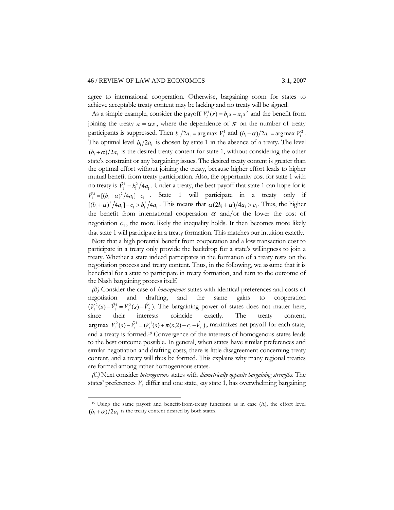agree to international cooperation. Otherwise, bargaining room for states to achieve acceptable treaty content may be lacking and no treaty will be signed.

As a simple example, consider the payoff  $V_i^1(s) = b_i s - a_i s^2$  and the benefit from joining the treaty  $\pi = \alpha s$ , where the dependence of  $\pi$  on the number of treaty participants is suppressed. Then  $b_1/2a_1 = \arg \max V_1^1$  and  $(b_1 + \alpha)/2a_1 = \arg \max V_1^2$ . The optimal level  $b_1/2a_1$  is chosen by state 1 in the absence of a treaty. The level  $(b_1 + \alpha)/2a_1$  is the desired treaty content for state 1, without considering the other state's constraint or any bargaining issues. The desired treaty content is greater than the optimal effort without joining the treaty, because higher effort leads to higher mutual benefit from treaty participation. Also, the opportunity cost for state 1 with no treaty is  $\hat{V}_1^1 = b_1^2/4a_1$ . Under a treaty, the best payoff that state 1 can hope for is  $\tilde{V}_1^2 = \left[ (b_1 + \alpha)^2 / 4a_1 \right] - c_1$ . State 1 will participate in a treaty only if  $[(b_1 + \alpha)^2/4a_1] - c_1 > b_1^2/4a_1$ . This means that  $\alpha(2b_1 + \alpha)/4a_1 > c_1$ . Thus, the higher the benefit from international cooperation  $\alpha$  and/or the lower the cost of negotiation  $c_1$ , the more likely the inequality holds. It then becomes more likely that state 1 will participate in a treaty formation. This matches our intuition exactly.

Note that a high potential benefit from cooperation and a low transaction cost to participate in a treaty only provide the backdrop for a state's willingness to join a treaty. Whether a state indeed participates in the formation of a treaty rests on the negotiation process and treaty content. Thus, in the following, we assume that it is beneficial for a state to participate in treaty formation, and turn to the outcome of the Nash bargaining process itself.

*(B)* Consider the case of *homogeneous* states with identical preferences and costs of negotiation and drafting, and the same gains to cooperation  $(V_1^2(s) - \hat{V}_1^1 = V_2^2(s) - \hat{V}_2^1$ . The bargaining power of states does not matter here, since their interests coincide exactly. The treaty content,  $\arg \max V_i^2(s) - \hat{V}_i^1 = (V_i^1(s) + \pi(s, 2) - c_i - \hat{V}_i^1)$ , maximizes net payoff for each state, and a treaty is formed.19 Convergence of the interests of homogenous states leads to the best outcome possible. In general, when states have similar preferences and similar negotiation and drafting costs, there is little disagreement concerning treaty content, and a treaty will thus be formed. This explains why many regional treaties are formed among rather homogeneous states.

*(C)* Next consider *heterogeneous* states with *diametrically opposite bargaining strengths*. The states' preferences *V<sub>i</sub>* differ and one state, say state 1, has overwhelming bargaining

<sup>&</sup>lt;sup>19</sup> Using the same payoff and benefit-from-treaty functions as in case (A), the effort level  $(b<sub>i</sub> + \alpha)/2a<sub>i</sub>$  is the treaty content desired by both states.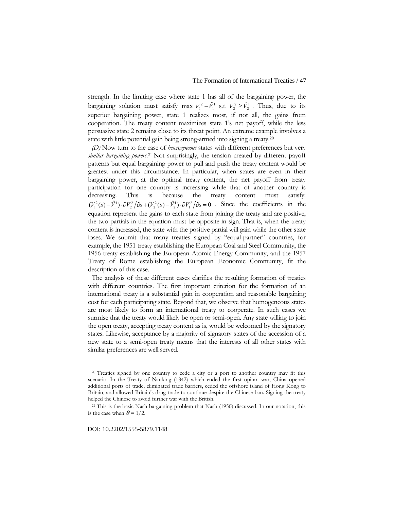#### The Formation of International Treaties / 47

strength. In the limiting case where state 1 has all of the bargaining power, the bargaining solution must satisfy max  $V_1^2 - \hat{V}_1^1$  s.t.  $V_2^2 \ge \hat{V}_2^1$ . Thus, due to its superior bargaining power, state 1 realizes most, if not all, the gains from cooperation. The treaty content maximizes state 1's net payoff, while the less persuasive state 2 remains close to its threat point. An extreme example involves a state with little potential gain being strong-armed into signing a treaty.20

*(D)* Now turn to the case of *heterogeneous* states with different preferences but very *similar bargaining powers*. 21 Not surprisingly, the tension created by different payoff patterns but equal bargaining power to pull and push the treaty content would be greatest under this circumstance. In particular, when states are even in their bargaining power, at the optimal treaty content, the net payoff from treaty participation for one country is increasing while that of another country is decreasing. This is because the treaty content must satisfy:  $(V_1^2(s) - \hat{V}_1^1) \cdot \partial V_2^2 / \partial s + (V_2^2(s) - \hat{V}_2^1) \cdot \partial V_1^2 / \partial s = 0$ . Since the coefficients in the equation represent the gains to each state from joining the treaty and are positive, the two partials in the equation must be opposite in sign. That is, when the treaty content is increased, the state with the positive partial will gain while the other state loses. We submit that many treaties signed by "equal-partner" countries, for example, the 1951 treaty establishing the European Coal and Steel Community, the 1956 treaty establishing the European Atomic Energy Community, and the 1957 Treaty of Rome establishing the European Economic Community, fit the description of this case.

The analysis of these different cases clarifies the resulting formation of treaties with different countries. The first important criterion for the formation of an international treaty is a substantial gain in cooperation and reasonable bargaining cost for each participating state. Beyond that, we observe that homogeneous states are most likely to form an international treaty to cooperate. In such cases we surmise that the treaty would likely be open or semi-open. Any state willing to join the open treaty, accepting treaty content as is, would be welcomed by the signatory states. Likewise, acceptance by a majority of signatory states of the accession of a new state to a semi-open treaty means that the interests of all other states with similar preferences are well served.

<sup>20</sup> Treaties signed by one country to cede a city or a port to another country may fit this scenario. In the Treaty of Nanking (1842) which ended the first opium war, China opened additional ports of trade, eliminated trade barriers, ceded the offshore island of Hong Kong to Britain, and allowed Britain's drug trade to continue despite the Chinese ban. Signing the treaty helped the Chinese to avoid further war with the British.

<sup>&</sup>lt;sup>21</sup> This is the basic Nash bargaining problem that Nash (1950) discussed. In our notation, this is the case when  $\theta = 1/2$ .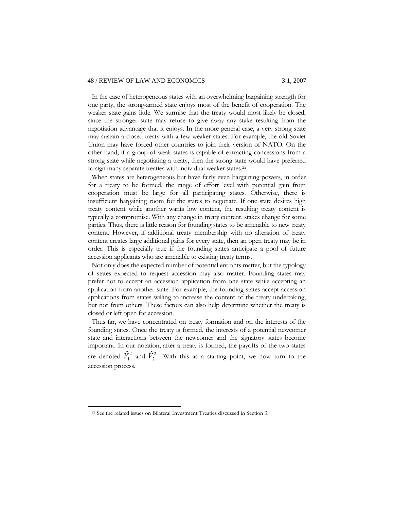In the case of heterogeneous states with an overwhelming bargaining strength for one party, the strong-armed state enjoys most of the benefit of cooperation. The weaker state gains little. We surmise that the treaty would most likely be closed, since the stronger state may refuse to give away any stake resulting from the negotiation advantage that it enjoys. In the more general case, a very strong state may sustain a closed treaty with a few weaker states. For example, the old Soviet Union may have forced other countries to join their version of NATO. On the other hand, if a group of weak states is capable of extracting concessions from a strong state while negotiating a treaty, then the strong state would have preferred to sign many separate treaties with individual weaker states.22

When states are heterogeneous but have fairly even bargaining powers, in order for a treaty to be formed, the range of effort level with potential gain from cooperation must be large for all participating states. Otherwise, there is insufficient bargaining room for the states to negotiate. If one state desires high treaty content while another wants low content, the resulting treaty content is typically a compromise. With any change in treaty content, stakes change for some parties. Thus, there is little reason for founding states to be amenable to new treaty content. However, if additional treaty membership with no alteration of treaty content creates large additional gains for every state, then an open treaty may be in order. This is especially true if the founding states anticipate a pool of future accession applicants who are amenable to existing treaty terms.

Not only does the expected number of potential entrants matter, but the typology of states expected to request accession may also matter. Founding states may prefer not to accept an accession application from one state while accepting an application from another state. For example, the founding states accept accession applications from states willing to increase the content of the treaty undertaking, but not from others. These factors can also help determine whether the treaty is closed or left open for accession.

Thus far, we have concentrated on treaty formation and on the interests of the founding states. Once the treaty is formed, the interests of a potential newcomer state and interactions between the newcomer and the signatory states become important. In our notation, after a treaty is formed, the payoffs of the two states are denoted  $\hat{V}_1^2$  and  $\hat{V}_2^2$ . With this as a starting point, we now turn to the accession process.

<sup>22</sup> See the related issues on Bilateral Investment Treaties discussed in Section 3.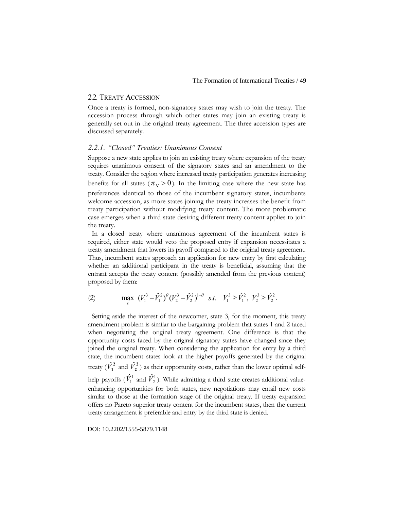# 2.2. TREATY ACCESSION

Once a treaty is formed, non-signatory states may wish to join the treaty. The accession process through which other states may join an existing treaty is generally set out in the original treaty agreement. The three accession types are discussed separately.

# *2.2.1. "Closed" Treaties: Unanimous Consent*

Suppose a new state applies to join an existing treaty where expansion of the treaty requires unanimous consent of the signatory states and an amendment to the treaty. Consider the region where increased treaty participation generates increasing benefits for all states ( $\pi_{N} > 0$ ). In the limiting case where the new state has preferences identical to those of the incumbent signatory states, incumbents welcome accession, as more states joining the treaty increases the benefit from treaty participation without modifying treaty content. The more problematic case emerges when a third state desiring different treaty content applies to join the treaty.

In a closed treaty where unanimous agreement of the incumbent states is required, either state would veto the proposed entry if expansion necessitates a treaty amendment that lowers its payoff compared to the original treaty agreement. Thus, incumbent states approach an application for new entry by first calculating whether an additional participant in the treaty is beneficial, assuming that the entrant accepts the treaty content (possibly amended from the previous content) proposed by them:

(2) 
$$
\max_{s} (V_1^3 - \hat{V}_1^2)^{\theta} (V_2^3 - \hat{V}_2^2)^{1-\theta} \text{ s.t. } V_1^3 \ge \hat{V}_1^2, V_2^3 \ge \hat{V}_2^2.
$$

Setting aside the interest of the newcomer, state 3, for the moment, this treaty amendment problem is similar to the bargaining problem that states 1 and 2 faced when negotiating the original treaty agreement. One difference is that the opportunity costs faced by the original signatory states have changed since they joined the original treaty. When considering the application for entry by a third state, the incumbent states look at the higher payoffs generated by the original treaty  $(\hat{V}_1^2$  and  $\hat{V}_2^2)$  as their opportunity costs, rather than the lower optimal selfhelp payoffs  $(\hat{V}_1^1$  and  $\hat{V}_2^1$ ). While admitting a third state creates additional valueenhancing opportunities for both states, new negotiations may entail new costs similar to those at the formation stage of the original treaty. If treaty expansion offers no Pareto superior treaty content for the incumbent states, then the current treaty arrangement is preferable and entry by the third state is denied.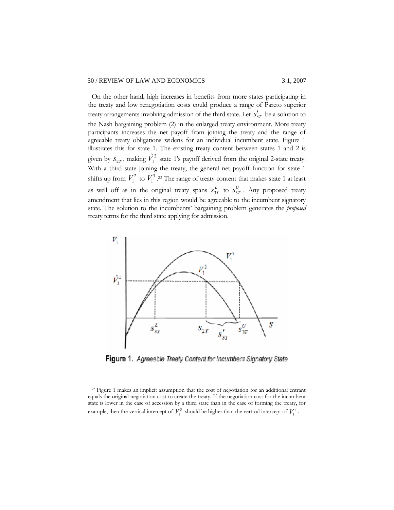On the other hand, high increases in benefits from more states participating in the treaty and low renegotiation costs could produce a range of Pareto superior treaty arrangements involving admission of the third state. Let  $s'_{3T}$  be a solution to the Nash bargaining problem (2) in the enlarged treaty environment. More treaty participants increases the net payoff from joining the treaty and the range of agreeable treaty obligations widens for an individual incumbent state. Figure 1 illustrates this for state 1. The existing treaty content between states 1 and 2 is given by  $s_{2T}$ , making  $\hat{V}_1^2$  state 1's payoff derived from the original 2-state treaty. With a third state joining the treaty, the general net payoff function for state 1 shifts up from  $V_1^2$  to  $V_1^3$ .<sup>23</sup> The range of treaty content that makes state 1 at least as well off as in the original treaty spans  $s_{3T}^L$  to  $s_{3T}^U$ . Any proposed treaty amendment that lies in this region would be agreeable to the incumbent signatory state. The solution to the incumbents' bargaining problem generates the *proposed* treaty terms for the third state applying for admission.



Figure 1. Agreeable Treaty Contant for Incumbent Signatory State

<sup>23</sup> Figure 1 makes an implicit assumption that the cost of negotiation for an additional entrant equals the original negotiation cost to create the treaty. If the negotiation cost for the incumbent state is lower in the case of accession by a third state than in the case of forming the treaty, for example, then the vertical intercept of  $V_1^3$  should be higher than the vertical intercept of  $V_1^2$ .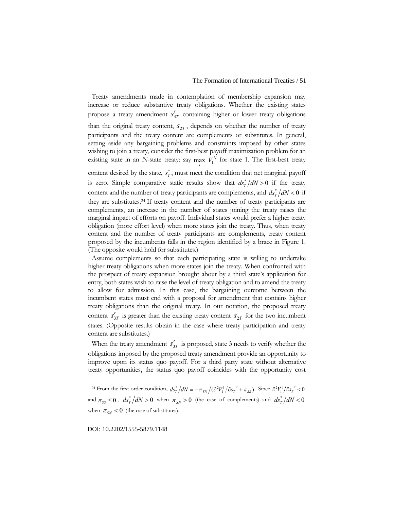Treaty amendments made in contemplation of membership expansion may increase or reduce substantive treaty obligations. Whether the existing states propose a treaty amendment  $s'_{3T}$  containing higher or lower treaty obligations than the original treaty content,  $S_{2T}$ , depends on whether the number of treaty participants and the treaty content are complements or substitutes. In general, setting aside any bargaining problems and constraints imposed by other states wishing to join a treaty, consider the first-best payoff maximization problem for an existing state in an *N*-state treaty: say  $\max_{s} V_1^N$  for state 1. The first-best treaty content desired by the state,  $s_T^*$ , must meet the condition that net marginal payoff is zero. Simple comparative static results show that  $ds^* / dN > 0$  if the treaty content and the number of treaty participants are complements, and  $ds^*_{\tau}/dN < 0$  if they are substitutes.24 If treaty content and the number of treaty participants are complements, an increase in the number of states joining the treaty raises the marginal impact of efforts on payoff. Individual states would prefer a higher treaty obligation (more effort level) when more states join the treaty. Thus, when treaty content and the number of treaty participants are complements, treaty content proposed by the incumbents falls in the region identified by a brace in Figure 1. (The opposite would hold for substitutes.)

Assume complements so that each participating state is willing to undertake higher treaty obligations when more states join the treaty. When confronted with the prospect of treaty expansion brought about by a third state's application for entry, both states wish to raise the level of treaty obligation and to amend the treaty to allow for admission. In this case, the bargaining outcome between the incumbent states must end with a proposal for amendment that contains higher treaty obligations than the original treaty. In our notation, the proposed treaty content  $S'_{3T}$  is greater than the existing treaty content  $S_{2T}$  for the two incumbent states. (Opposite results obtain in the case where treaty participation and treaty content are substitutes.)

When the treaty amendment  $S'_{3T}$  is proposed, state 3 needs to verify whether the obligations imposed by the proposed treaty amendment provide an opportunity to improve upon its status quo payoff. For a third party state without alternative treaty opportunities, the status quo payoff coincides with the opportunity cost

<sup>&</sup>lt;sup>24</sup> From the first order condition,  $ds_T^*/dN = -\pi_{SN}/(\partial^2 V_1^1/\partial s_T^2 + \pi_{SS})$ . Since  $\partial^2 V_1^1/\partial s_T^2 < 0$ and  $\pi_{SS} \leq 0$ ,  $ds_T^* / dN > 0$  when  $\pi_{SN} > 0$  (the case of complements) and  $ds_T^* / dN < 0$ when  $\pi_{SN}$  < 0 (the case of substitutes).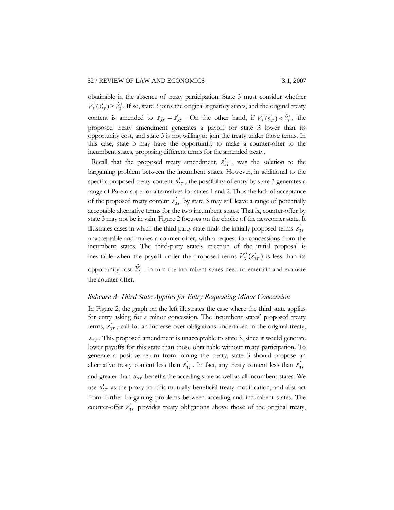obtainable in the absence of treaty participation. State 3 must consider whether  $V_3^3(s'_{3T}) \ge \hat{V}_3^1$ . If so, state 3 joins the original signatory states, and the original treaty content is amended to  $s_{3T} = s'_{3T}$ . On the other hand, if  $V_3^3(s'_{3T}) < \hat{V}_3^1$ , the proposed treaty amendment generates a payoff for state 3 lower than its opportunity cost, and state 3 is not willing to join the treaty under those terms. In this case, state 3 may have the opportunity to make a counter-offer to the incumbent states, proposing different terms for the amended treaty.

Recall that the proposed treaty amendment,  $s'_{3T}$ , was the solution to the bargaining problem between the incumbent states. However, in additional to the specific proposed treaty content  $S'_{3T}$ , the possibility of entry by state 3 generates a range of Pareto superior alternatives for states 1 and 2. Thus the lack of acceptance of the proposed treaty content  $S'_{3T}$  by state 3 may still leave a range of potentially acceptable alternative terms for the two incumbent states. That is, counter-offer by state 3 may not be in vain. Figure 2 focuses on the choice of the newcomer state. It illustrates cases in which the third party state finds the initially proposed terms  $S'_{37}$ unacceptable and makes a counter-offer, with a request for concessions from the incumbent states. The third-party state's rejection of the initial proposal is inevitable when the payoff under the proposed terms  $V_3^3$   $(s'_{3T})$  is less than its opportunity cost  $\hat{V}_3^1$ . In turn the incumbent states need to entertain and evaluate the counter-offer.

# *Subcase A. Third State Applies for Entry Requesting Minor Concession*

In Figure 2, the graph on the left illustrates the case where the third state applies for entry asking for a minor concession. The incumbent states' proposed treaty terms,  $S'_{3T}$ , call for an increase over obligations undertaken in the original treaty,  $S_{2T}$ . This proposed amendment is unacceptable to state 3, since it would generate lower payoffs for this state than those obtainable without treaty participation. To generate a positive return from joining the treaty, state 3 should propose an alternative treaty content less than  $s'_{3T}$ . In fact, any treaty content less than  $s'_{3T}$ and greater than  $S_{2T}$  benefits the acceding state as well as all incumbent states. We use  $S'_{3T}$  as the proxy for this mutually beneficial treaty modification, and abstract from further bargaining problems between acceding and incumbent states. The counter-offer  $S'_{3T}$  provides treaty obligations above those of the original treaty,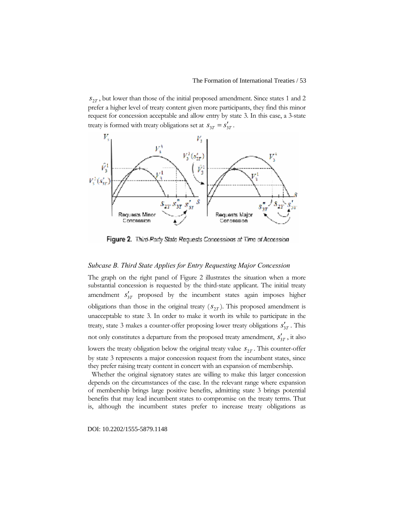$S_{2T}$ , but lower than those of the initial proposed amendment. Since states 1 and 2 prefer a higher level of treaty content given more participants, they find this minor request for concession acceptable and allow entry by state 3. In this case, a 3-state treaty is formed with treaty obligations set at  $s_{3T} = s'_{3T}$ .



Figure 2. Third-Party State Requests Concessions at Time of Accession

# *Subcase B. Third State Applies for Entry Requesting Major Concession*

The graph on the right panel of Figure 2 illustrates the situation when a more substantial concession is requested by the third-state applicant. The initial treaty amendment  $S'_{3T}$  proposed by the incumbent states again imposes higher obligations than those in the original treaty  $(S_{2T})$ . This proposed amendment is unacceptable to state 3. In order to make it worth its while to participate in the treaty, state 3 makes a counter-offer proposing lower treaty obligations  $S'_{3T}$ . This not only constitutes a departure from the proposed treaty amendment,  $s'_{3T}$  , it also lowers the treaty obligation below the original treaty value  $S_{2T}$ . This counter-offer by state 3 represents a major concession request from the incumbent states, since they prefer raising treaty content in concert with an expansion of membership.

Whether the original signatory states are willing to make this larger concession depends on the circumstances of the case. In the relevant range where expansion of membership brings large positive benefits, admitting state 3 brings potential benefits that may lead incumbent states to compromise on the treaty terms. That is, although the incumbent states prefer to increase treaty obligations as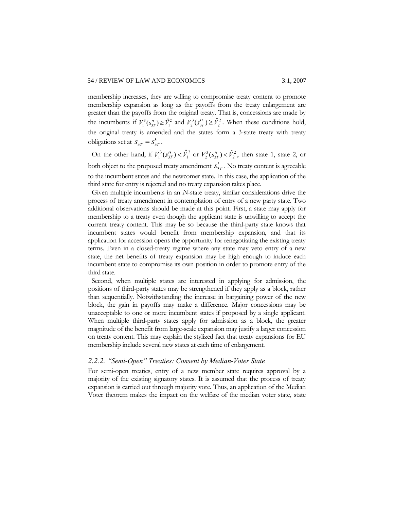membership increases, they are willing to compromise treaty content to promote membership expansion as long as the payoffs from the treaty enlargement are greater than the payoffs from the original treaty. That is, concessions are made by the incumbents if  $V_1^3(s_{3T}'') \geq \hat{V}_1^2$  and  $V_2^3(s_{3T}'') \geq \hat{V}_2^2$ . When these conditions hold, the original treaty is amended and the states form a 3-state treaty with treaty obligations set at  $s_{3T} = s'_{3T}$ .

On the other hand, if  $V_1^3(s''_{3T}) < \hat{V}_1^2$  or  $V_2^3(s''_{3T}) < \hat{V}_2^2$ , then state 1, state 2, or both object to the proposed treaty amendment  $s'_{3T}$ . No treaty content is agreeable to the incumbent states and the newcomer state. In this case, the application of the third state for entry is rejected and no treaty expansion takes place.

Given multiple incumbents in an *N*-state treaty, similar considerations drive the process of treaty amendment in contemplation of entry of a new party state. Two additional observations should be made at this point. First, a state may apply for membership to a treaty even though the applicant state is unwilling to accept the current treaty content. This may be so because the third-party state knows that incumbent states would benefit from membership expansion, and that its application for accession opens the opportunity for renegotiating the existing treaty terms. Even in a closed-treaty regime where any state may veto entry of a new state, the net benefits of treaty expansion may be high enough to induce each incumbent state to compromise its own position in order to promote entry of the third state.

Second, when multiple states are interested in applying for admission, the positions of third-party states may be strengthened if they apply as a block, rather than sequentially. Notwithstanding the increase in bargaining power of the new block, the gain in payoffs may make a difference. Major concessions may be unacceptable to one or more incumbent states if proposed by a single applicant. When multiple third-party states apply for admission as a block, the greater magnitude of the benefit from large-scale expansion may justify a larger concession on treaty content. This may explain the stylized fact that treaty expansions for EU membership include several new states at each time of enlargement.

# *2.2.2. "Semi-Open" Treaties: Consent by Median-Voter State*

For semi-open treaties, entry of a new member state requires approval by a majority of the existing signatory states. It is assumed that the process of treaty expansion is carried out through majority vote. Thus, an application of the Median Voter theorem makes the impact on the welfare of the median voter state, state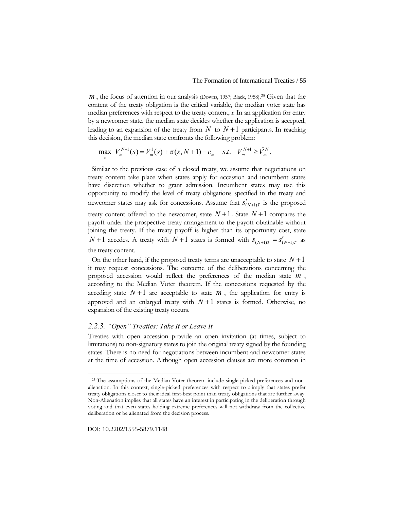*m* , the focus of attention in our analysis (Downs, 1957; Black, 1958). 25 Given that the content of the treaty obligation is the critical variable, the median voter state has median preferences with respect to the treaty content, *s.* In an application for entry by a newcomer state, the median state decides whether the application is accepted, leading to an expansion of the treaty from  $N$  to  $N+1$  participants. In reaching this decision, the median state confronts the following problem:

$$
\max_{s} V_{m}^{N+1}(s) = V_{m}^{1}(s) + \pi(s, N+1) - c_{m} \quad s.t. \quad V_{m}^{N+1} \ge \hat{V}_{m}^{N}.
$$

Similar to the previous case of a closed treaty, we assume that negotiations on treaty content take place when states apply for accession and incumbent states have discretion whether to grant admission. Incumbent states may use this opportunity to modify the level of treaty obligations specified in the treaty and newcomer states may ask for concessions. Assume that  $S'_{(N+1)T}$  is the proposed treaty content offered to the newcomer, state  $N+1$ . State  $N+1$  compares the payoff under the prospective treaty arrangement to the payoff obtainable without joining the treaty. If the treaty payoff is higher than its opportunity cost, state  $N+1$  accedes. A treaty with  $N+1$  states is formed with  $S_{(N+1)T} = S'_{(N+1)T}$  as the treaty content.

On the other hand, if the proposed treaty terms are unacceptable to state  $N+1$ it may request concessions. The outcome of the deliberations concerning the proposed accession would reflect the preferences of the median state *m* , according to the Median Voter theorem. If the concessions requested by the acceding state  $N+1$  are acceptable to state  $m$ , the application for entry is approved and an enlarged treaty with  $N+1$  states is formed. Otherwise, no expansion of the existing treaty occurs.

# *2.2.3. "Open" Treaties: Take It or Leave It*

Treaties with open accession provide an open invitation (at times, subject to limitations) to non-signatory states to join the original treaty signed by the founding states. There is no need for negotiations between incumbent and newcomer states at the time of accession. Although open accession clauses are more common in

<sup>25</sup> The assumptions of the Median Voter theorem include single-picked preferences and nonalienation. In this context, single-picked preferences with respect to *s* imply that states prefer treaty obligations closer to their ideal first-best point than treaty obligations that are further away. Non-Alienation implies that all states have an interest in participating in the deliberation through voting and that even states holding extreme preferences will not withdraw from the collective deliberation or be alienated from the decision process.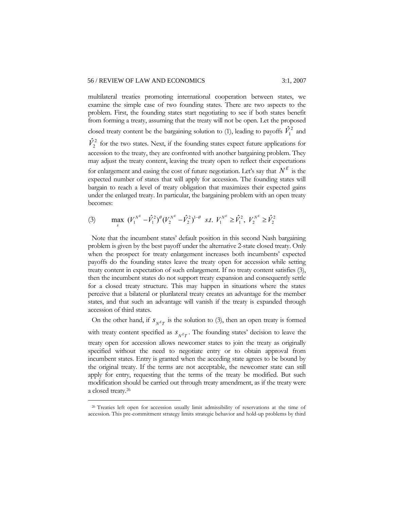multilateral treaties promoting international cooperation between states, we examine the simple case of two founding states. There are two aspects to the problem. First, the founding states start negotiating to see if both states benefit from forming a treaty, assuming that the treaty will not be open. Let the proposed closed treaty content be the bargaining solution to (1), leading to payoffs  $\hat{V}_1^2$  and  $\hat{V}_2^2$  for the two states. Next, if the founding states expect future applications for accession to the treaty, they are confronted with another bargaining problem. They may adjust the treaty content, leaving the treaty open to reflect their expectations for enlargement and easing the cost of future negotiation. Let's say that  $N^E$  is the expected number of states that will apply for accession. The founding states will bargain to reach a level of treaty obligation that maximizes their expected gains under the enlarged treaty. In particular, the bargaining problem with an open treaty becomes:

(3) 
$$
\max_{s} (V_1^{N^E} - \hat{V}_1^2)^{\theta} (V_2^{N^E} - \hat{V}_2^2)^{1-\theta} \text{ s.t. } V_1^{N^E} \ge \hat{V}_1^2, V_2^{N^E} \ge \hat{V}_2^2
$$

Note that the incumbent states' default position in this second Nash bargaining problem is given by the best payoff under the alternative 2-state closed treaty. Only when the prospect for treaty enlargement increases both incumbents' expected payoffs do the founding states leave the treaty open for accession while setting treaty content in expectation of such enlargement. If no treaty content satisfies (3), then the incumbent states do not support treaty expansion and consequently settle for a closed treaty structure. This may happen in situations where the states perceive that a bilateral or plurilateral treaty creates an advantage for the member states, and that such an advantage will vanish if the treaty is expanded through accession of third states.

On the other hand, if  $S_{N^E T}$  is the solution to (3), then an open treaty is formed with treaty content specified as  $S_{N^E T}$ . The founding states' decision to leave the treaty open for accession allows newcomer states to join the treaty as originally specified without the need to negotiate entry or to obtain approval from incumbent states. Entry is granted when the acceding state agrees to be bound by the original treaty. If the terms are not acceptable, the newcomer state can still apply for entry, requesting that the terms of the treaty be modified. But such modification should be carried out through treaty amendment, as if the treaty were a closed treaty.26

<sup>26</sup> Treaties left open for accession usually limit admissibility of reservations at the time of accession. This pre-commitment strategy limits strategic behavior and hold-up problems by third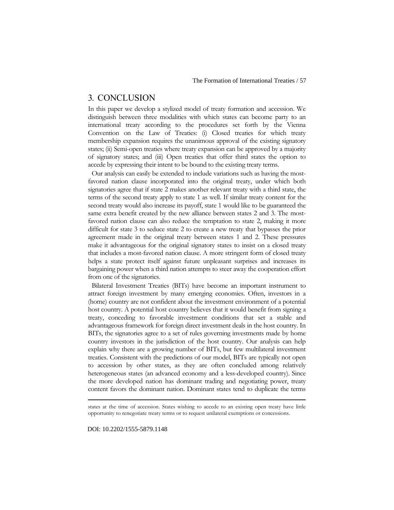# 3. CONCLUSION

In this paper we develop a stylized model of treaty formation and accession. We distinguish between three modalities with which states can become party to an international treaty according to the procedures set forth by the Vienna Convention on the Law of Treaties: (i) Closed treaties for which treaty membership expansion requires the unanimous approval of the existing signatory states; (ii) Semi-open treaties where treaty expansion can be approved by a majority of signatory states; and (iii) Open treaties that offer third states the option to accede by expressing their intent to be bound to the existing treaty terms.

Our analysis can easily be extended to include variations such as having the mostfavored nation clause incorporated into the original treaty, under which both signatories agree that if state 2 makes another relevant treaty with a third state, the terms of the second treaty apply to state 1 as well. If similar treaty content for the second treaty would also increase its payoff, state 1 would like to be guaranteed the same extra benefit created by the new alliance between states 2 and 3. The mostfavored nation clause can also reduce the temptation to state 2, making it more difficult for state 3 to seduce state 2 to create a new treaty that bypasses the prior agreement made in the original treaty between states 1 and 2. These pressures make it advantageous for the original signatory states to insist on a closed treaty that includes a most-favored nation clause. A more stringent form of closed treaty helps a state protect itself against future unpleasant surprises and increases its bargaining power when a third nation attempts to steer away the cooperation effort from one of the signatories.

Bilateral Investment Treaties (BITs) have become an important instrument to attract foreign investment by many emerging economies. Often, investors in a (home) country are not confident about the investment environment of a potential host country. A potential host country believes that it would benefit from signing a treaty, conceding to favorable investment conditions that set a stable and advantageous framework for foreign direct investment deals in the host country. In BITs, the signatories agree to a set of rules governing investments made by home country investors in the jurisdiction of the host country. Our analysis can help explain why there are a growing number of BITs, but few multilateral investment treaties. Consistent with the predictions of our model, BITs are typically not open to accession by other states, as they are often concluded among relatively heterogeneous states (an advanced economy and a less-developed country). Since the more developed nation has dominant trading and negotiating power, treaty content favors the dominant nation. Dominant states tend to duplicate the terms

states at the time of accession. States wishing to accede to an existing open treaty have little opportunity to renegotiate treaty terms or to request unilateral exemptions or concessions.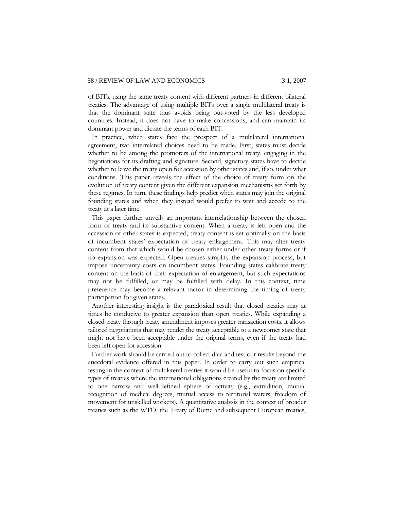of BITs, using the same treaty content with different partners in different bilateral treaties. The advantage of using multiple BITs over a single multilateral treaty is that the dominant state thus avoids being out-voted by the less developed countries. Instead, it does not have to make concessions, and can maintain its dominant power and dictate the terms of each BIT.

In practice, when states face the prospect of a multilateral international agreement, two interrelated choices need to be made. First, states must decide whether to be among the promoters of the international treaty, engaging in the negotiations for its drafting and signature. Second, signatory states have to decide whether to leave the treaty open for accession by other states and, if so, under what conditions. This paper reveals the effect of the choice of treaty form on the evolution of treaty content given the different expansion mechanisms set forth by these regimes. In turn, these findings help predict when states may join the original founding states and when they instead would prefer to wait and accede to the treaty at a later time.

This paper further unveils an important interrelationship between the chosen form of treaty and its substantive content. When a treaty is left open and the accession of other states is expected, treaty content is set optimally on the basis of incumbent states' expectation of treaty enlargement. This may alter treaty content from that which would be chosen either under other treaty forms or if no expansion was expected. Open treaties simplify the expansion process, but impose uncertainty costs on incumbent states. Founding states calibrate treaty content on the basis of their expectation of enlargement, but such expectations may not be fulfilled, or may be fulfilled with delay. In this context, time preference may become a relevant factor in determining the timing of treaty participation for given states.

Another interesting insight is the paradoxical result that closed treaties may at times be conducive to greater expansion than open treaties. While expanding a closed treaty through treaty amendment imposes greater transaction costs, it allows tailored negotiations that may render the treaty acceptable to a newcomer state that might not have been acceptable under the original terms, even if the treaty had been left open for accession.

Further work should be carried out to collect data and test our results beyond the anecdotal evidence offered in this paper. In order to carry out such empirical testing in the context of multilateral treaties it would be useful to focus on specific types of treaties where the international obligations created by the treaty are limited to one narrow and well-defined sphere of activity (e.g., extradition, mutual recognition of medical degrees, mutual access to territorial waters, freedom of movement for unskilled workers). A quantitative analysis in the context of broader treaties such as the WTO, the Treaty of Rome and subsequent European treaties,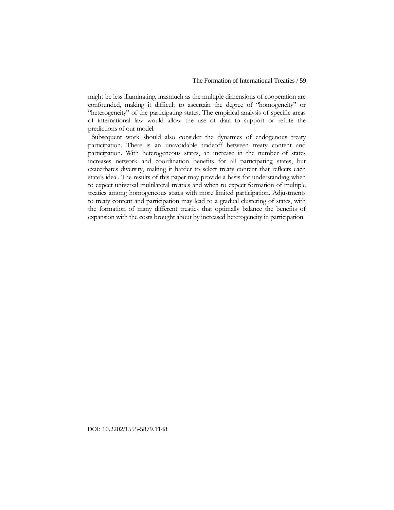might be less illuminating, inasmuch as the multiple dimensions of cooperation are confounded, making it difficult to ascertain the degree of "homogeneity" or "heterogeneity" of the participating states. The empirical analysis of specific areas of international law would allow the use of data to support or refute the predictions of our model.

Subsequent work should also consider the dynamics of endogenous treaty participation. There is an unavoidable tradeoff between treaty content and participation. With heterogeneous states, an increase in the number of states increases network and coordination benefits for all participating states, but exacerbates diversity, making it harder to select treaty content that reflects each state's ideal. The results of this paper may provide a basis for understanding when to expect universal multilateral treaties and when to expect formation of multiple treaties among homogeneous states with more limited participation. Adjustments to treaty content and participation may lead to a gradual clustering of states, with the formation of many different treaties that optimally balance the benefits of expansion with the costs brought about by increased heterogeneity in participation.